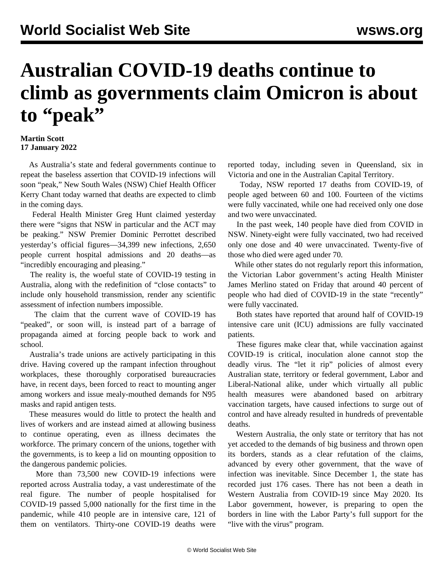## **Australian COVID-19 deaths continue to climb as governments claim Omicron is about to "peak"**

## **Martin Scott 17 January 2022**

 As Australia's state and federal governments continue to repeat the baseless assertion that COVID-19 infections will soon "peak," New South Wales (NSW) Chief Health Officer Kerry Chant today warned that deaths are expected to climb in the coming days.

 Federal Health Minister Greg Hunt claimed yesterday there were "signs that NSW in particular and the ACT may be peaking." NSW Premier Dominic Perrottet described yesterday's official figures—34,399 new infections, 2,650 people current hospital admissions and 20 deaths—as "incredibly encouraging and pleasing."

 The reality is, the woeful state of COVID-19 testing in Australia, along with the redefinition of "close contacts" to include only household transmission, render any scientific assessment of infection numbers impossible.

 The claim that the current wave of COVID-19 has "peaked", or soon will, is instead part of a barrage of propaganda aimed at forcing people back to work and school.

 Australia's trade unions are actively participating in this drive. Having covered up the rampant infection throughout workplaces, these thoroughly corporatised bureaucracies have, in recent days, been forced to react to mounting anger among workers and issue mealy-mouthed demands for N95 masks and rapid antigen tests.

 These measures would do little to protect the health and lives of workers and are instead aimed at allowing business to continue operating, even as illness decimates the workforce. The primary concern of the unions, together with the governments, is to keep a lid on mounting opposition to the dangerous pandemic policies.

 More than 73,500 new COVID-19 infections were reported across Australia today, a vast underestimate of the real figure. The number of people hospitalised for COVID-19 passed 5,000 nationally for the first time in the pandemic, while 410 people are in intensive care, 121 of them on ventilators. Thirty-one COVID-19 deaths were reported today, including seven in Queensland, six in Victoria and one in the Australian Capital Territory.

 Today, NSW reported 17 deaths from COVID-19, of people aged between 60 and 100. Fourteen of the victims were fully vaccinated, while one had received only one dose and two were unvaccinated.

 In the past week, 140 people have died from COVID in NSW. Ninety-eight were fully vaccinated, two had received only one dose and 40 were unvaccinated. Twenty-five of those who died were aged under 70.

 While other states do not regularly report this information, the Victorian Labor government's acting Health Minister James Merlino stated on Friday that around 40 percent of people who had died of COVID-19 in the state "recently" were fully vaccinated.

 Both states have reported that around half of COVID-19 intensive care unit (ICU) admissions are fully vaccinated patients.

 These figures make clear that, while vaccination against COVID-19 is critical, inoculation alone cannot stop the deadly virus. The "let it rip" policies of almost every Australian state, territory or federal government, Labor and Liberal-National alike, under which virtually all public health measures were abandoned based on arbitrary vaccination targets, have caused infections to surge out of control and have already resulted in hundreds of preventable deaths.

 Western Australia, the only state or territory that has not yet acceded to the demands of big business and thrown open its borders, stands as a clear refutation of the claims, advanced by every other government, that the wave of infection was inevitable. Since December 1, the state has recorded just 176 cases. There has not been a death in Western Australia from COVID-19 since May 2020. Its Labor government, however, is preparing to open the borders in line with the Labor Party's full support for the "live with the virus" program.